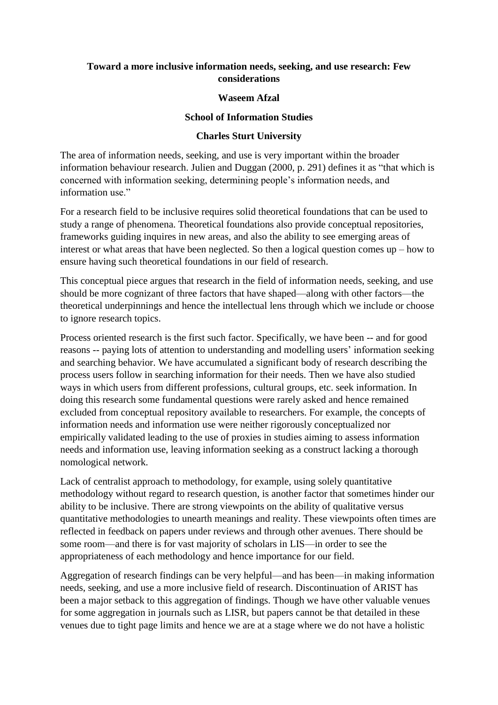## **Toward a more inclusive information needs, seeking, and use research: Few considerations**

## **Waseem Afzal**

## **School of Information Studies**

## **Charles Sturt University**

The area of information needs, seeking, and use is very important within the broader information behaviour research. Julien and Duggan (2000, p. 291) defines it as "that which is concerned with information seeking, determining people's information needs, and information use."

For a research field to be inclusive requires solid theoretical foundations that can be used to study a range of phenomena. Theoretical foundations also provide conceptual repositories, frameworks guiding inquires in new areas, and also the ability to see emerging areas of interest or what areas that have been neglected. So then a logical question comes up – how to ensure having such theoretical foundations in our field of research.

This conceptual piece argues that research in the field of information needs, seeking, and use should be more cognizant of three factors that have shaped—along with other factors—the theoretical underpinnings and hence the intellectual lens through which we include or choose to ignore research topics.

Process oriented research is the first such factor. Specifically, we have been -- and for good reasons -- paying lots of attention to understanding and modelling users' information seeking and searching behavior. We have accumulated a significant body of research describing the process users follow in searching information for their needs. Then we have also studied ways in which users from different professions, cultural groups, etc. seek information. In doing this research some fundamental questions were rarely asked and hence remained excluded from conceptual repository available to researchers. For example, the concepts of information needs and information use were neither rigorously conceptualized nor empirically validated leading to the use of proxies in studies aiming to assess information needs and information use, leaving information seeking as a construct lacking a thorough nomological network.

Lack of centralist approach to methodology, for example, using solely quantitative methodology without regard to research question, is another factor that sometimes hinder our ability to be inclusive. There are strong viewpoints on the ability of qualitative versus quantitative methodologies to unearth meanings and reality. These viewpoints often times are reflected in feedback on papers under reviews and through other avenues. There should be some room—and there is for vast majority of scholars in LIS—in order to see the appropriateness of each methodology and hence importance for our field.

Aggregation of research findings can be very helpful—and has been—in making information needs, seeking, and use a more inclusive field of research. Discontinuation of ARIST has been a major setback to this aggregation of findings. Though we have other valuable venues for some aggregation in journals such as LISR, but papers cannot be that detailed in these venues due to tight page limits and hence we are at a stage where we do not have a holistic